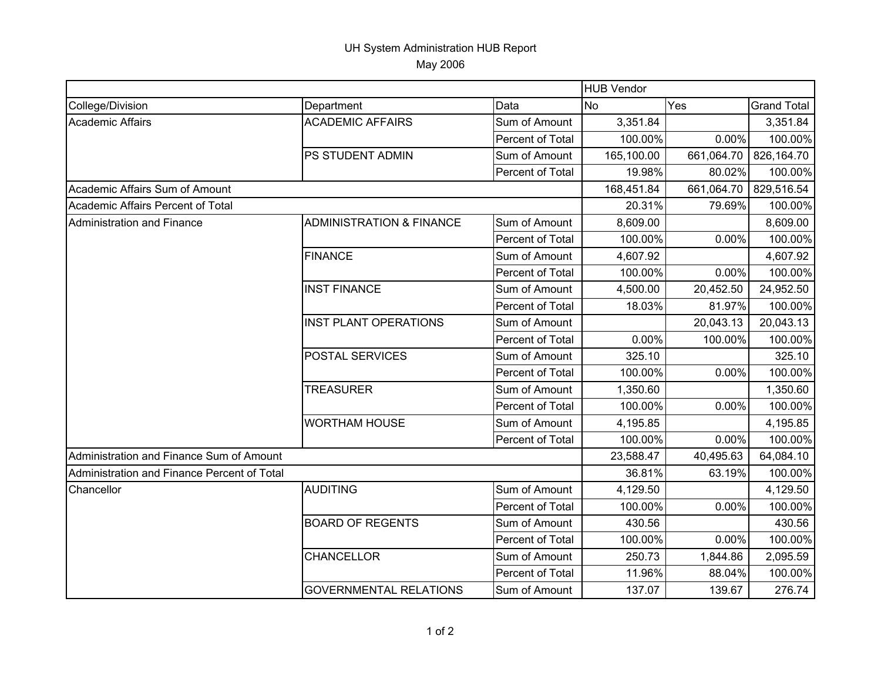## UH System Administration HUB Report May 2006

|                                             |                                     |                  | <b>HUB Vendor</b> |            |                    |  |
|---------------------------------------------|-------------------------------------|------------------|-------------------|------------|--------------------|--|
| College/Division                            | Department                          | Data             | <b>No</b>         | Yes        | <b>Grand Total</b> |  |
| Academic Affairs                            | <b>ACADEMIC AFFAIRS</b>             | Sum of Amount    | 3,351.84          |            | 3,351.84           |  |
|                                             |                                     | Percent of Total | 100.00%           | 0.00%      | 100.00%            |  |
|                                             | PS STUDENT ADMIN                    | Sum of Amount    | 165,100.00        | 661,064.70 | 826,164.70         |  |
|                                             |                                     | Percent of Total | 19.98%            | 80.02%     | 100.00%            |  |
| Academic Affairs Sum of Amount              |                                     |                  | 168,451.84        | 661,064.70 | 829,516.54         |  |
| Academic Affairs Percent of Total           |                                     |                  | 20.31%            | 79.69%     | 100.00%            |  |
| Administration and Finance                  | <b>ADMINISTRATION &amp; FINANCE</b> | Sum of Amount    | 8,609.00          |            | 8,609.00           |  |
|                                             |                                     | Percent of Total | 100.00%           | 0.00%      | 100.00%            |  |
|                                             | <b>FINANCE</b>                      | Sum of Amount    | 4,607.92          |            | 4,607.92           |  |
|                                             |                                     | Percent of Total | 100.00%           | 0.00%      | 100.00%            |  |
|                                             | <b>INST FINANCE</b>                 | Sum of Amount    | 4,500.00          | 20,452.50  | 24,952.50          |  |
|                                             |                                     | Percent of Total | 18.03%            | 81.97%     | 100.00%            |  |
|                                             | <b>INST PLANT OPERATIONS</b>        | Sum of Amount    |                   | 20,043.13  | 20,043.13          |  |
|                                             |                                     | Percent of Total | 0.00%             | 100.00%    | 100.00%            |  |
|                                             | POSTAL SERVICES                     | Sum of Amount    | 325.10            |            | 325.10             |  |
|                                             |                                     | Percent of Total | 100.00%           | 0.00%      | 100.00%            |  |
|                                             | <b>TREASURER</b>                    | Sum of Amount    | 1,350.60          |            | 1,350.60           |  |
|                                             |                                     | Percent of Total | 100.00%           | 0.00%      | 100.00%            |  |
|                                             | <b>WORTHAM HOUSE</b>                | Sum of Amount    | 4,195.85          |            | 4,195.85           |  |
|                                             |                                     | Percent of Total | 100.00%           | 0.00%      | 100.00%            |  |
| Administration and Finance Sum of Amount    |                                     |                  | 23,588.47         | 40,495.63  | 64,084.10          |  |
| Administration and Finance Percent of Total |                                     |                  | 36.81%            | 63.19%     | 100.00%            |  |
| Chancellor                                  | <b>AUDITING</b>                     | Sum of Amount    | 4,129.50          |            | 4,129.50           |  |
|                                             |                                     | Percent of Total | 100.00%           | 0.00%      | 100.00%            |  |
|                                             | <b>BOARD OF REGENTS</b>             | Sum of Amount    | 430.56            |            | 430.56             |  |
|                                             |                                     | Percent of Total | 100.00%           | 0.00%      | 100.00%            |  |
|                                             | <b>CHANCELLOR</b>                   | Sum of Amount    | 250.73            | 1,844.86   | 2,095.59           |  |
|                                             |                                     | Percent of Total | 11.96%            | 88.04%     | 100.00%            |  |
|                                             | <b>GOVERNMENTAL RELATIONS</b>       | Sum of Amount    | 137.07            | 139.67     | 276.74             |  |